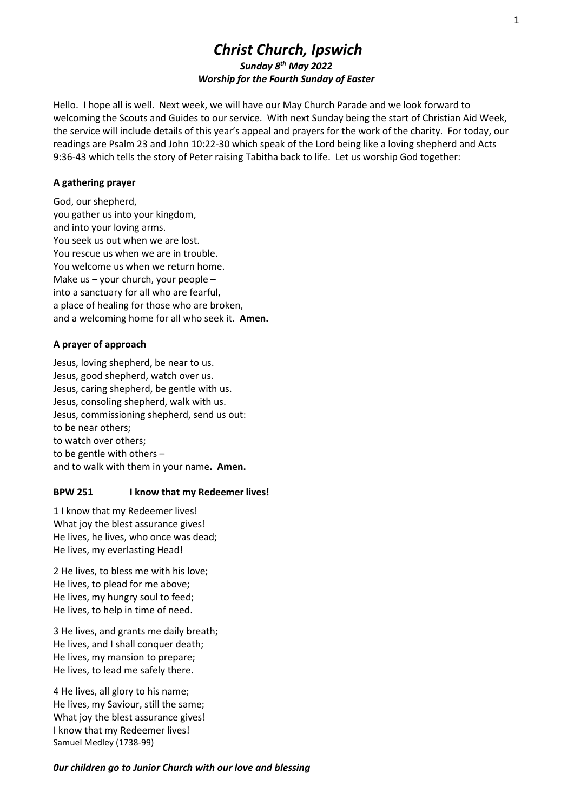# Christ Church, Ipswich Sunday 8<sup>th</sup> May 2022 Worship for the Fourth Sunday of Easter

Hello. I hope all is well. Next week, we will have our May Church Parade and we look forward to welcoming the Scouts and Guides to our service. With next Sunday being the start of Christian Aid Week, the service will include details of this year's appeal and prayers for the work of the charity. For today, our readings are Psalm 23 and John 10:22-30 which speak of the Lord being like a loving shepherd and Acts 9:36-43 which tells the story of Peter raising Tabitha back to life. Let us worship God together:

## A gathering prayer

God, our shepherd, you gather us into your kingdom, and into your loving arms. You seek us out when we are lost. You rescue us when we are in trouble. You welcome us when we return home. Make us – your church, your people – into a sanctuary for all who are fearful, a place of healing for those who are broken, and a welcoming home for all who seek it. Amen.

## A prayer of approach

Jesus, loving shepherd, be near to us. Jesus, good shepherd, watch over us. Jesus, caring shepherd, be gentle with us. Jesus, consoling shepherd, walk with us. Jesus, commissioning shepherd, send us out: to be near others; to watch over others; to be gentle with others – and to walk with them in your name. Amen.

## BPW 251 I know that my Redeemer lives!

1 I know that my Redeemer lives! What joy the blest assurance gives! He lives, he lives, who once was dead; He lives, my everlasting Head!

2 He lives, to bless me with his love; He lives, to plead for me above; He lives, my hungry soul to feed; He lives, to help in time of need.

3 He lives, and grants me daily breath; He lives, and I shall conquer death; He lives, my mansion to prepare; He lives, to lead me safely there.

4 He lives, all glory to his name; He lives, my Saviour, still the same; What joy the blest assurance gives! I know that my Redeemer lives! Samuel Medley (1738-99)

## 0ur children go to Junior Church with our love and blessing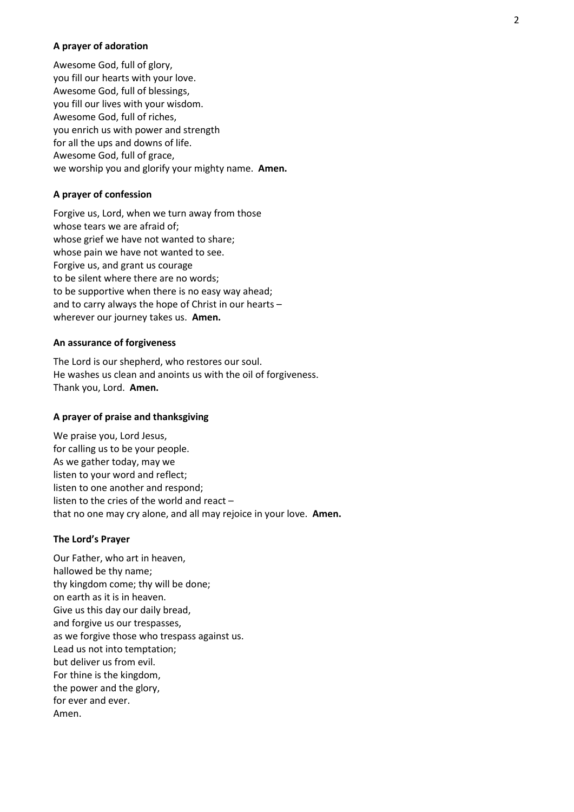### A prayer of adoration

Awesome God, full of glory, you fill our hearts with your love. Awesome God, full of blessings, you fill our lives with your wisdom. Awesome God, full of riches, you enrich us with power and strength for all the ups and downs of life. Awesome God, full of grace, we worship you and glorify your mighty name. Amen.

### A prayer of confession

Forgive us, Lord, when we turn away from those whose tears we are afraid of; whose grief we have not wanted to share; whose pain we have not wanted to see. Forgive us, and grant us courage to be silent where there are no words; to be supportive when there is no easy way ahead; and to carry always the hope of Christ in our hearts – wherever our journey takes us. Amen.

### An assurance of forgiveness

The Lord is our shepherd, who restores our soul. He washes us clean and anoints us with the oil of forgiveness. Thank you, Lord. Amen.

## A prayer of praise and thanksgiving

We praise you, Lord Jesus, for calling us to be your people. As we gather today, may we listen to your word and reflect; listen to one another and respond; listen to the cries of the world and react – that no one may cry alone, and all may rejoice in your love. Amen.

#### The Lord's Prayer

Our Father, who art in heaven, hallowed be thy name; thy kingdom come; thy will be done; on earth as it is in heaven. Give us this day our daily bread, and forgive us our trespasses, as we forgive those who trespass against us. Lead us not into temptation; but deliver us from evil. For thine is the kingdom, the power and the glory, for ever and ever. Amen.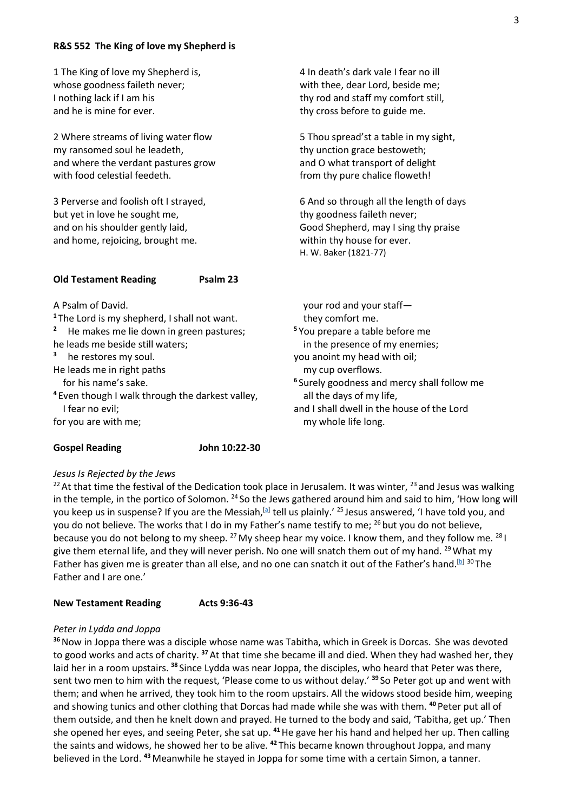### R&S 552 The King of love my Shepherd is

| 1 The King of love my Shepherd is,<br>whose goodness faileth never;<br>I nothing lack if I am his<br>and he is mine for ever.                                                                                                                                                                                                                                                       | 4 In death's dark vale I fear no ill<br>with thee, dear Lord, beside me;<br>thy rod and staff my comfort still,<br>thy cross before to guide me.                                                                                                                                                                                             |
|-------------------------------------------------------------------------------------------------------------------------------------------------------------------------------------------------------------------------------------------------------------------------------------------------------------------------------------------------------------------------------------|----------------------------------------------------------------------------------------------------------------------------------------------------------------------------------------------------------------------------------------------------------------------------------------------------------------------------------------------|
| 2 Where streams of living water flow<br>my ransomed soul he leadeth,<br>and where the verdant pastures grow<br>with food celestial feedeth.                                                                                                                                                                                                                                         | 5 Thou spread'st a table in my sight,<br>thy unction grace bestoweth;<br>and O what transport of delight<br>from thy pure chalice floweth!                                                                                                                                                                                                   |
| 3 Perverse and foolish oft I strayed,<br>but yet in love he sought me,<br>and on his shoulder gently laid,<br>and home, rejoicing, brought me.                                                                                                                                                                                                                                      | 6 And so through all the length of days<br>thy goodness faileth never;<br>Good Shepherd, may I sing thy praise<br>within thy house for ever.<br>H. W. Baker (1821-77)                                                                                                                                                                        |
| <b>Old Testament Reading</b><br>Psalm 23                                                                                                                                                                                                                                                                                                                                            |                                                                                                                                                                                                                                                                                                                                              |
| A Psalm of David.<br><sup>1</sup> The Lord is my shepherd, I shall not want.<br>$\overline{\mathbf{c}}$<br>He makes me lie down in green pastures;<br>he leads me beside still waters;<br>3<br>he restores my soul.<br>He leads me in right paths<br>for his name's sake.<br><sup>4</sup> Even though I walk through the darkest valley,<br>I fear no evil;<br>for you are with me; | your rod and your staff-<br>they comfort me.<br><sup>5</sup> You prepare a table before me<br>in the presence of my enemies;<br>you anoint my head with oil;<br>my cup overflows.<br><sup>6</sup> Surely goodness and mercy shall follow me<br>all the days of my life,<br>and I shall dwell in the house of the Lord<br>my whole life long. |

## Gospel Reading **John 10:22-30**

## Jesus Is Rejected by the Jews

<sup>22</sup> At that time the festival of the Dedication took place in Jerusalem. It was winter,  $^{23}$  and Jesus was walking in the temple, in the portico of Solomon. <sup>24</sup> So the Jews gathered around him and said to him, 'How long will you keep us in suspense? If you are the Messiah,<sup>[a]</sup> tell us plainly.' <sup>25</sup> Jesus answered, 'I have told you, and you do not believe. The works that I do in my Father's name testify to me: <sup>26</sup> but you do not believe, because you do not belong to my sheep. <sup>27</sup> My sheep hear my voice. I know them, and they follow me. <sup>28</sup> I give them eternal life, and they will never perish. No one will snatch them out of my hand. <sup>29</sup> What my Father has given me is greater than all else, and no one can snatch it out of the Father's hand.<sup>[b] 30</sup>The Father and I are one.'

#### New Testament Reading Acts 9:36-43

## Peter in Lydda and Joppa

<sup>36</sup> Now in Joppa there was a disciple whose name was Tabitha, which in Greek is Dorcas. She was devoted to good works and acts of charity.<sup>37</sup> At that time she became ill and died. When they had washed her, they laid her in a room upstairs. <sup>38</sup> Since Lydda was near Joppa, the disciples, who heard that Peter was there, sent two men to him with the request, 'Please come to us without delay.' <sup>39</sup> So Peter got up and went with them; and when he arrived, they took him to the room upstairs. All the widows stood beside him, weeping and showing tunics and other clothing that Dorcas had made while she was with them. <sup>40</sup> Peter put all of them outside, and then he knelt down and prayed. He turned to the body and said, 'Tabitha, get up.' Then she opened her eyes, and seeing Peter, she sat up. <sup>41</sup> He gave her his hand and helped her up. Then calling the saints and widows, he showed her to be alive. <sup>42</sup> This became known throughout Joppa, and many believed in the Lord. <sup>43</sup> Meanwhile he stayed in Joppa for some time with a certain Simon, a tanner.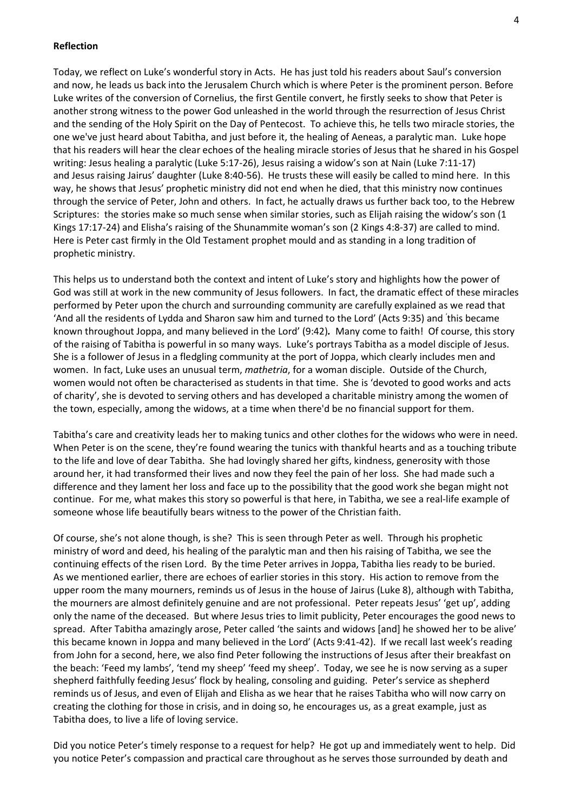### Reflection

Today, we reflect on Luke's wonderful story in Acts. He has just told his readers about Saul's conversion and now, he leads us back into the Jerusalem Church which is where Peter is the prominent person. Before Luke writes of the conversion of Cornelius, the first Gentile convert, he firstly seeks to show that Peter is another strong witness to the power God unleashed in the world through the resurrection of Jesus Christ and the sending of the Holy Spirit on the Day of Pentecost. To achieve this, he tells two miracle stories, the one we've just heard about Tabitha, and just before it, the healing of Aeneas, a paralytic man. Luke hope that his readers will hear the clear echoes of the healing miracle stories of Jesus that he shared in his Gospel writing: Jesus healing a paralytic (Luke 5:17-26), Jesus raising a widow's son at Nain (Luke 7:11-17) and Jesus raising Jairus' daughter (Luke 8:40-56). He trusts these will easily be called to mind here. In this way, he shows that Jesus' prophetic ministry did not end when he died, that this ministry now continues through the service of Peter, John and others. In fact, he actually draws us further back too, to the Hebrew Scriptures: the stories make so much sense when similar stories, such as Elijah raising the widow's son (1 Kings 17:17-24) and Elisha's raising of the Shunammite woman's son (2 Kings 4:8-37) are called to mind. Here is Peter cast firmly in the Old Testament prophet mould and as standing in a long tradition of prophetic ministry.

This helps us to understand both the context and intent of Luke's story and highlights how the power of God was still at work in the new community of Jesus followers. In fact, the dramatic effect of these miracles performed by Peter upon the church and surrounding community are carefully explained as we read that 'And all the residents of Lydda and Sharon saw him and turned to the Lord' (Acts 9:35) and ' this became known throughout Joppa, and many believed in the Lord' (9:42). Many come to faith! Of course, this story of the raising of Tabitha is powerful in so many ways. Luke's portrays Tabitha as a model disciple of Jesus. She is a follower of Jesus in a fledgling community at the port of Joppa, which clearly includes men and women. In fact, Luke uses an unusual term, mathetria, for a woman disciple. Outside of the Church, women would not often be characterised as students in that time. She is 'devoted to good works and acts of charity', she is devoted to serving others and has developed a charitable ministry among the women of the town, especially, among the widows, at a time when there'd be no financial support for them.

Tabitha's care and creativity leads her to making tunics and other clothes for the widows who were in need. When Peter is on the scene, they're found wearing the tunics with thankful hearts and as a touching tribute to the life and love of dear Tabitha. She had lovingly shared her gifts, kindness, generosity with those around her, it had transformed their lives and now they feel the pain of her loss. She had made such a difference and they lament her loss and face up to the possibility that the good work she began might not continue. For me, what makes this story so powerful is that here, in Tabitha, we see a real-life example of someone whose life beautifully bears witness to the power of the Christian faith.

Of course, she's not alone though, is she? This is seen through Peter as well. Through his prophetic ministry of word and deed, his healing of the paralytic man and then his raising of Tabitha, we see the continuing effects of the risen Lord. By the time Peter arrives in Joppa, Tabitha lies ready to be buried. As we mentioned earlier, there are echoes of earlier stories in this story. His action to remove from the upper room the many mourners, reminds us of Jesus in the house of Jairus (Luke 8), although with Tabitha, the mourners are almost definitely genuine and are not professional. Peter repeats Jesus' 'get up', adding only the name of the deceased. But where Jesus tries to limit publicity, Peter encourages the good news to spread. After Tabitha amazingly arose, Peter called 'the saints and widows [and] he showed her to be alive' this became known in Joppa and many believed in the Lord' (Acts 9:41-42). If we recall last week's reading from John for a second, here, we also find Peter following the instructions of Jesus after their breakfast on the beach: 'Feed my lambs', 'tend my sheep' 'feed my sheep'. Today, we see he is now serving as a super shepherd faithfully feeding Jesus' flock by healing, consoling and guiding. Peter's service as shepherd reminds us of Jesus, and even of Elijah and Elisha as we hear that he raises Tabitha who will now carry on creating the clothing for those in crisis, and in doing so, he encourages us, as a great example, just as Tabitha does, to live a life of loving service.

Did you notice Peter's timely response to a request for help? He got up and immediately went to help. Did you notice Peter's compassion and practical care throughout as he serves those surrounded by death and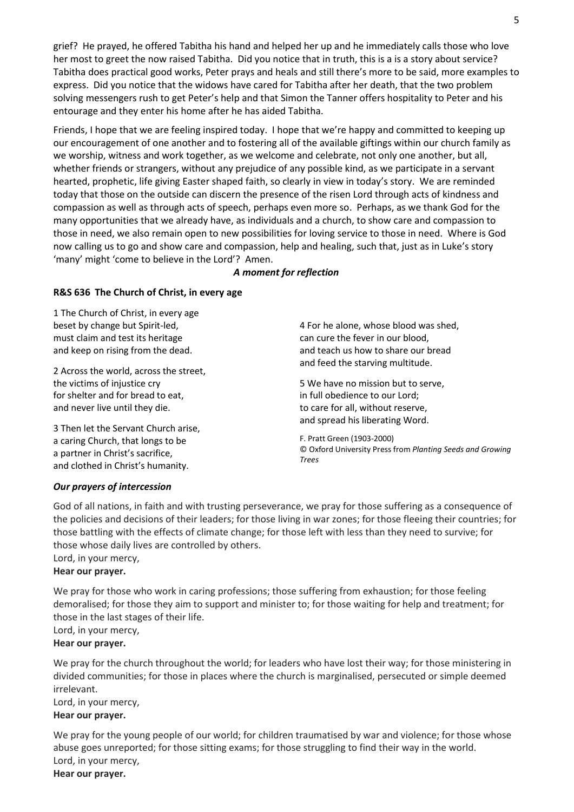grief? He prayed, he offered Tabitha his hand and helped her up and he immediately calls those who love her most to greet the now raised Tabitha. Did you notice that in truth, this is a is a story about service? Tabitha does practical good works, Peter prays and heals and still there's more to be said, more examples to express. Did you notice that the widows have cared for Tabitha after her death, that the two problem solving messengers rush to get Peter's help and that Simon the Tanner offers hospitality to Peter and his entourage and they enter his home after he has aided Tabitha.

Friends, I hope that we are feeling inspired today. I hope that we're happy and committed to keeping up our encouragement of one another and to fostering all of the available giftings within our church family as we worship, witness and work together, as we welcome and celebrate, not only one another, but all, whether friends or strangers, without any prejudice of any possible kind, as we participate in a servant hearted, prophetic, life giving Easter shaped faith, so clearly in view in today's story. We are reminded today that those on the outside can discern the presence of the risen Lord through acts of kindness and compassion as well as through acts of speech, perhaps even more so. Perhaps, as we thank God for the many opportunities that we already have, as individuals and a church, to show care and compassion to those in need, we also remain open to new possibilities for loving service to those in need. Where is God now calling us to go and show care and compassion, help and healing, such that, just as in Luke's story 'many' might 'come to believe in the Lord'? Amen.

## A moment for reflection

## R&S 636 The Church of Christ, in every age

1 The Church of Christ, in every age beset by change but Spirit-led, must claim and test its heritage and keep on rising from the dead.

2 Across the world, across the street, the victims of injustice cry for shelter and for bread to eat, and never live until they die.

3 Then let the Servant Church arise, a caring Church, that longs to be a partner in Christ's sacrifice, and clothed in Christ's humanity.

4 For he alone, whose blood was shed, can cure the fever in our blood, and teach us how to share our bread and feed the starving multitude.

5 We have no mission but to serve, in full obedience to our Lord; to care for all, without reserve, and spread his liberating Word.

F. Pratt Green (1903-2000) © Oxford University Press from Planting Seeds and Growing Trees

## Our prayers of intercession

God of all nations, in faith and with trusting perseverance, we pray for those suffering as a consequence of the policies and decisions of their leaders; for those living in war zones; for those fleeing their countries; for those battling with the effects of climate change; for those left with less than they need to survive; for those whose daily lives are controlled by others.

Lord, in your mercy,

## Hear our prayer.

We pray for those who work in caring professions; those suffering from exhaustion; for those feeling demoralised; for those they aim to support and minister to; for those waiting for help and treatment; for those in the last stages of their life.

Lord, in your mercy, Hear our prayer.

We pray for the church throughout the world; for leaders who have lost their way; for those ministering in divided communities; for those in places where the church is marginalised, persecuted or simple deemed irrelevant.

Lord, in your mercy,

## Hear our prayer.

We pray for the young people of our world; for children traumatised by war and violence; for those whose abuse goes unreported; for those sitting exams; for those struggling to find their way in the world. Lord, in your mercy,

Hear our prayer.